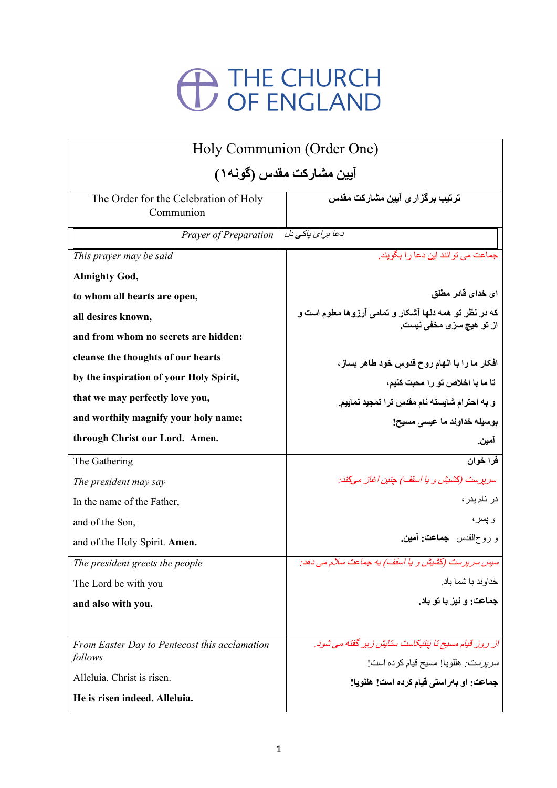## <sup>THE CHURCH</sup><br>
OF ENGLAND

| Holy Communion (Order One)                         |                                                                                                      |
|----------------------------------------------------|------------------------------------------------------------------------------------------------------|
| آیین مشارکت مقدس (گونـه ۱ )                        |                                                                                                      |
| The Order for the Celebration of Holy<br>Communion | <mark>تر تیب بر گز ار ی آیین مشار کت مقدس</mark>                                                     |
| Prayer of Preparation                              | دعا بر ای پاکی دل                                                                                    |
| This prayer may be said                            | جماعت مے تو انند ابن دعا ر ا بگو بند.                                                                |
| <b>Almighty God,</b>                               |                                                                                                      |
| to whom all hearts are open,                       | ای خدای قادر مطلق                                                                                    |
| all desires known,                                 | که در نظر تو همه دلها آشکار و تمامی آرزوها معلوم است و<br>از تو هيچ س <i>رّ عم</i> خف <i>ي</i> نيست. |
| and from whom no secrets are hidden:               |                                                                                                      |
| cleanse the thoughts of our hearts                 | افکار ما را با الهام روح قدوس خود طاهر بساز ،                                                        |
| by the inspiration of your Holy Spirit,            | تا ما با اخلاص تو را محبت كنيم،                                                                      |
| that we may perfectly love you,                    | و به احترام شايسته نام مقدس ترا تمجيد نماييم.                                                        |
| and worthily magnify your holy name;               | بوسيله خداوند ما عيسى مسيح!                                                                          |
| through Christ our Lord. Amen.                     | امين.                                                                                                |
| The Gathering                                      | فرا خوان                                                                                             |
| The president may say                              | سرپرست (کشیش و یا اسقف) جنین آغاز میکند:                                                             |
| In the name of the Father,                         | در نام بدر ،                                                                                         |
| and of the Son,                                    | و پسر ،                                                                                              |
| and of the Holy Spirit. Amen.                      | و روحالقدس جماعت: أمين.                                                                              |
| The president greets the people                    | سپس سرپرست (کشیش و یا اسقف) به جماعت سلام می دهد:                                                    |
| The Lord be with you                               | خداو ند با شما باد.                                                                                  |
| and also with you.                                 | جماعت: و نيز با تو باد.                                                                              |
|                                                    |                                                                                                      |
| From Easter Day to Pentecost this acclamation      | از روز قیام مسیح تا پنتیکاست ستایش زیر گفته می شود.                                                  |
| follows                                            | <i>سرپرست:</i> هللویا! مسیح قیام کرده است!                                                           |
| Alleluia. Christ is risen.                         | جماعت: او بهراستي قيام كرده است! هللويا!                                                             |
| He is risen indeed. Alleluia.                      |                                                                                                      |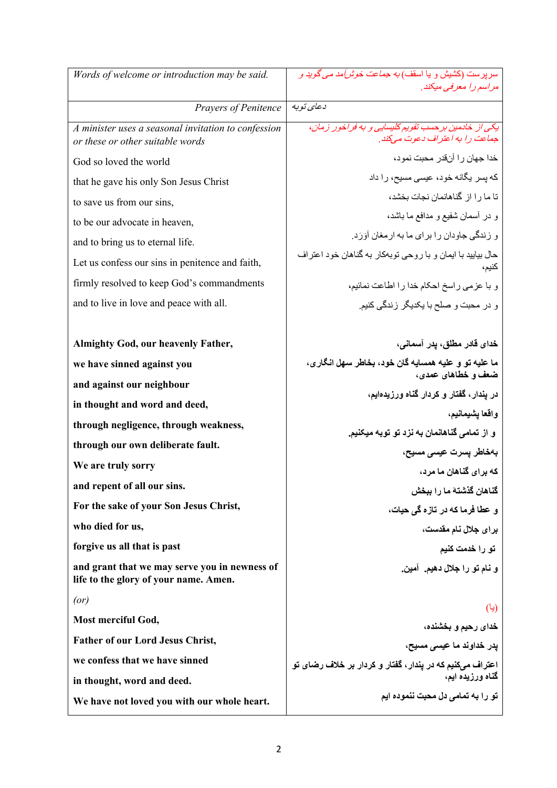| Words of welcome or introduction may be said.                                           | سر پر ست (کشیش و یا اسقف <i>) به جماعت خوشآمد می گوید و</i>                            |
|-----------------------------------------------------------------------------------------|----------------------------------------------------------------------------------------|
|                                                                                         | مراسم را معرفی میکند.                                                                  |
| Prayers of Penitence                                                                    | د عای توبه                                                                             |
| A minister uses a seasonal invitation to confession<br>or these or other suitable words | يکی از خادمين بر حسب تقويم کليسايی و به فراخور زمان،<br>جماعت را به اعتراف دعوت میکند. |
| God so loved the world                                                                  | خدا جهان ر ا آنقدر محبت نمود،                                                          |
| that he gave his only Son Jesus Christ                                                  | که پسر یگانه خود، عیسی مسیح، را داد                                                    |
| to save us from our sins,                                                               | تا ما را از گناهانمان نجات بخشد،                                                       |
| to be our advocate in heaven,                                                           | و در أسمان شفيع و مدافع ما باشد،                                                       |
| and to bring us to eternal life.                                                        | و زندگی جاودان را بر ای ما به ار مغان آوَرَد.                                          |
| Let us confess our sins in penitence and faith,                                         | حال بیایید با ایمان و با روحی توبهکار به گناهان خود اعتراف<br>كنيم،                    |
| firmly resolved to keep God's commandments                                              | و با عزمى راسخ احكام خدا را اطاعت نمائيم،                                              |
| and to live in love and peace with all.                                                 | و در محبت و صلح با یکدیگر زندگی کنیم.                                                  |
|                                                                                         |                                                                                        |
| <b>Almighty God, our heavenly Father,</b>                                               | خدای قادر مطلق، یدر آسمانی،                                                            |
| we have sinned against you                                                              | ما عليه تو و عليه همسايه گان خود، بخاطر سهل انگار ي،                                   |
| and against our neighbour                                                               | ضعف و خطاهای عمدی،                                                                     |
| in thought and word and deed,                                                           | در یندار ، گفتار و کردار گناه ورزیدهایم،                                               |
| through negligence, through weakness,                                                   | واقعا يشيمانيم،<br>و از تمامی گناهانمان به نزد تو توبه میکنیم.                         |
| through our own deliberate fault.                                                       | بەخاطر يسرت عيسى مسيح،                                                                 |
| We are truly sorry                                                                      | که برای گناهان ما مرد،                                                                 |
| and repent of all our sins.                                                             | كَناهان كَذْشتهُ ما را ببخش                                                            |
| For the sake of your Son Jesus Christ,                                                  | و عطا فرما که در تازه گی حیات،                                                         |
| who died for us,                                                                        | برای جلال نام مقدست،                                                                   |
| forgive us all that is past                                                             | تو را خدمت کنیم                                                                        |
| and grant that we may serve you in newness of<br>life to the glory of your name. Amen.  | و نام تو را جلال دهيم. آمين.                                                           |
| (or)                                                                                    | (یا)                                                                                   |
| Most merciful God,                                                                      | خدای رحیم و بخشنده،                                                                    |
| <b>Father of our Lord Jesus Christ,</b>                                                 | پدر خداوند ما عی <i>سی</i> مسیح،                                                       |
| we confess that we have sinned                                                          | اعتراف میکنیم که در پندار، گفتار و کردار بر خلاف رضای تو                               |
| in thought, word and deed.                                                              | گناه ورزیده ایم،                                                                       |
| We have not loved you with our whole heart.                                             | تو را به تمامی دل محبت ننموده ایم                                                      |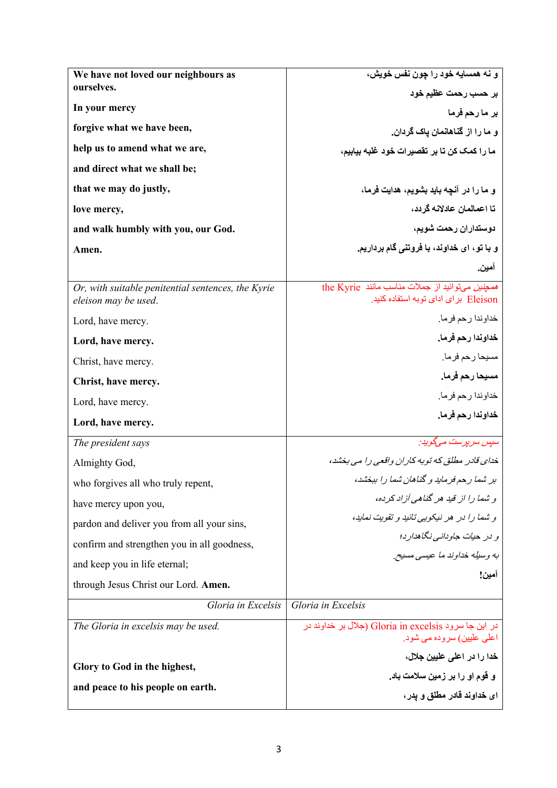| We have not loved our neighbours as                                        | و نه همسايه خود را چون نفس خويش،                                                       |
|----------------------------------------------------------------------------|----------------------------------------------------------------------------------------|
| ourselves.                                                                 | بر حسب رحمت عظیم خود                                                                   |
| In your mercy                                                              | بر ما رحم فرما                                                                         |
| forgive what we have been,                                                 | و ما را از گناهانمان باک گردان.                                                        |
| help us to amend what we are,                                              | ما را كمك كن تا بر تقصيرات خود غلبه بيابيم،                                            |
| and direct what we shall be;                                               |                                                                                        |
| that we may do justly,                                                     | و ما را در آنچه باید بشویم، هدایت فرما،                                                |
| love mercy,                                                                | تا اعمالمان عادلانه گر دد،                                                             |
| and walk humbly with you, our God.                                         | دوستداران رحمت شويم،                                                                   |
| Amen.                                                                      | و با تو، ای خداوند، با فروتنی گام برداریم.                                             |
|                                                                            | آمين.                                                                                  |
| Or, with suitable penitential sentences, the Kyrie<br>eleison may be used. | the Kyrie مصنين مي توانيد از جملات مناسب مانند<br>Eleison براى اداى توبه استفاده كنيد. |
| Lord, have mercy.                                                          | خداوندا رحم فرما.                                                                      |
| Lord, have mercy.                                                          | خداوندا رحم فرما.                                                                      |
| Christ, have mercy.                                                        | مسيحا رحم فرما.                                                                        |
| Christ, have mercy.                                                        | مسيحا رحم فرما.                                                                        |
| Lord, have mercy.                                                          | خداوندا رحم فرما.                                                                      |
| Lord, have mercy.                                                          | خداوندا رحم فرما.                                                                      |
| The president says                                                         | سیس سر پر ست مےگوید:                                                                   |
| Almighty God,                                                              | خدای قادر مطلق که توبه کاران واقعی را می بخشد،                                         |
| who forgives all who truly repent,                                         | بر شما رحم فرماید و گناهان شما را ببخشد،                                               |
| have mercy upon you,                                                       | و شما را از قید هر گناهی آزاد کر ده،                                                   |
| pardon and deliver you from all your sins,                                 | و شما را در هر نیکویی تائید و تقویت نماید،                                             |
| confirm and strengthen you in all goodness,                                | و در حيات جاوداني نگاهدار د؛                                                           |
| and keep you in life eternal;                                              | به وسيله خداوند ما عيسى مسيح.                                                          |
| through Jesus Christ our Lord. Amen.                                       | آمين!                                                                                  |
| Gloria in Excelsis                                                         | Gloria in Excelsis                                                                     |
| The Gloria in excelsis may be used.                                        | در این جا سرود Gloria in excelsis (جلال بر خداوند در<br>اعلٰی علیین) سروده می شود.     |
|                                                                            | خدا را در اعلی علیین جلال،                                                             |
| Glory to God in the highest,                                               | و قوم او را بر زمین سلامت باد.                                                         |
| and peace to his people on earth.                                          | ای خداوند قادر مطلق و یدر ،                                                            |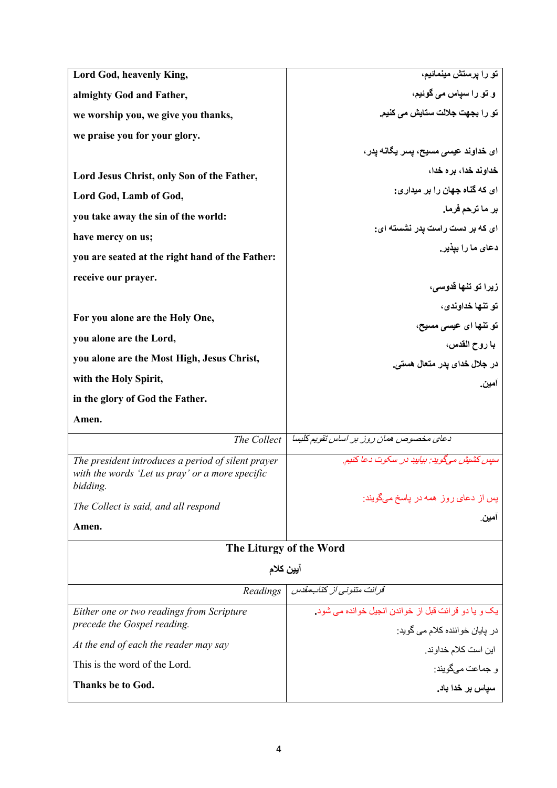| Lord God, heavenly King,                                                                                          | تو را پرستش مینمائیم،                                |
|-------------------------------------------------------------------------------------------------------------------|------------------------------------------------------|
| almighty God and Father,                                                                                          | و تو را سیاس می گوئیم،                               |
| we worship you, we give you thanks,                                                                               | تو را بجهت جلالت ستايش م <i>ي</i> كنيم.              |
| we praise you for your glory.                                                                                     |                                                      |
|                                                                                                                   | ا <i>ی</i> خداوند عی <i>سی</i> مسیح، پسر یگانه یدر ، |
| Lord Jesus Christ, only Son of the Father,                                                                        | خداوند خدا، بر ه خدا،                                |
| Lord God, Lamb of God,                                                                                            | ای که گناه جهان را بر میداری:                        |
| you take away the sin of the world:                                                                               | بر ما ترحم فرما.                                     |
| have mercy on us;                                                                                                 | ای که بر دست راست یدر نشسته ای:                      |
| you are seated at the right hand of the Father:                                                                   | دعای ما را بیذیر .                                   |
| receive our prayer.                                                                                               |                                                      |
|                                                                                                                   | زيرا تو تنها قدوسی،                                  |
| For you alone are the Holy One,                                                                                   | تو تنها خداوندي،                                     |
|                                                                                                                   | تو تنها ای عیسی مسیح،                                |
| you alone are the Lord,                                                                                           | با روح القدس،                                        |
| you alone are the Most High, Jesus Christ,                                                                        | در جلال خدای یدر متعال ه <i>ستی.</i>                 |
| with the Holy Spirit,                                                                                             | آمين.                                                |
| in the glory of God the Father.                                                                                   |                                                      |
| Amen.                                                                                                             |                                                      |
| The Collect                                                                                                       | دعای مخصوص همان روز بر اساس تقویم کلیسا              |
| The president introduces a period of silent prayer<br>with the words 'Let us pray' or a more specific<br>bidding. | سپس کشیش مے گوید: بیایید در سکوت دعا کنیم.           |
| The Collect is said, and all respond                                                                              | پس از دعای روز همه در پاسخ میگویند:                  |
| Amen.                                                                                                             | أمين.                                                |
|                                                                                                                   | The Liturgy of the Word                              |
| آيين كلام                                                                                                         |                                                      |
| Readings                                                                                                          | قرائت متنونی از کتاب مقدس                            |
| Either one or two readings from Scripture                                                                         | یک و یا دو قرائت قبل از خواندن انجیل خوانده می شود.  |
| precede the Gospel reading.                                                                                       | در پایان خواننده کلام می گوید:                       |
| At the end of each the reader may say                                                                             | این است کلام خداوند.                                 |
| This is the word of the Lord.                                                                                     | و جماعت ميگويند:                                     |
| <b>Thanks be to God.</b>                                                                                          | سپاس بر خدا باد.                                     |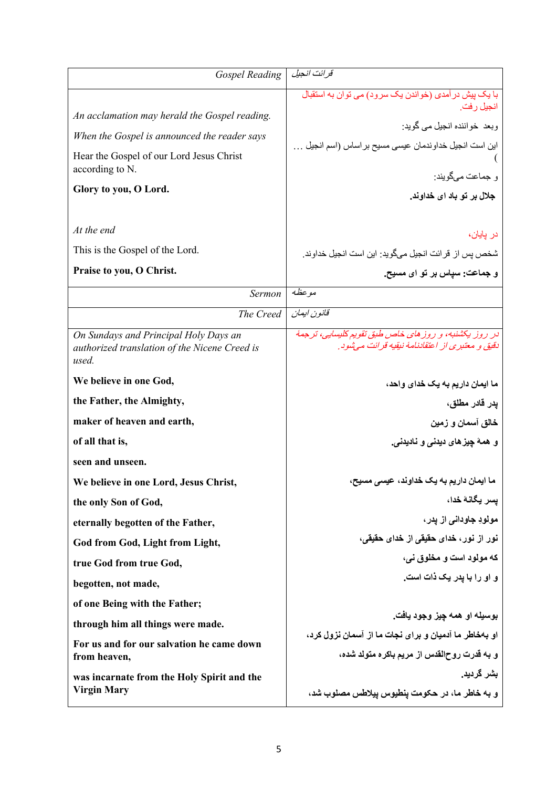| <b>Gospel Reading</b>                                                                                                                                                                 | قر ائت انجيل                                                                                                                                                                                                 |
|---------------------------------------------------------------------------------------------------------------------------------------------------------------------------------------|--------------------------------------------------------------------------------------------------------------------------------------------------------------------------------------------------------------|
| An acclamation may herald the Gospel reading.<br>When the Gospel is announced the reader says<br>Hear the Gospel of our Lord Jesus Christ<br>according to N.<br>Glory to you, O Lord. | با یک پیش در آمدی (خواندن یک سرود) می توان به استقبال<br>انجيل رفت.<br>وبعد خواننده انجيل مي گويد:<br>اين است انجيل خداوندمان عيسى مسيح بر اساس (اسم انجيل<br>و جماعت مے گویند:<br>جلال بر تو باد ای خداوند. |
| At the end                                                                                                                                                                            | در پایان،                                                                                                                                                                                                    |
| This is the Gospel of the Lord.                                                                                                                                                       | شخص پس از قرائت انجیل میگوید: این است انجیل خداوند.                                                                                                                                                          |
| Praise to you, O Christ.                                                                                                                                                              | و جماعت: سیاس بر تو ای مسیح.                                                                                                                                                                                 |
| Sermon                                                                                                                                                                                | موعظه                                                                                                                                                                                                        |
| The Creed                                                                                                                                                                             | قانون ابمان                                                                                                                                                                                                  |
| On Sundays and Principal Holy Days an<br>authorized translation of the Nicene Creed is<br>used.                                                                                       | در روز یکشنبه، و روز های خاص طبق تقویم کلیسایی، ترجمهٔ<br>دقیق و معتبری از اعتقادنامهٔ نیقیه قرائت مه شود.                                                                                                   |
| We believe in one God,                                                                                                                                                                | ما ایمان داریم به یک خدای واحد،                                                                                                                                                                              |
| the Father, the Almighty,                                                                                                                                                             | پدر قادر مطلق،                                                                                                                                                                                               |
| maker of heaven and earth,                                                                                                                                                            | خالق آسمان و زمین                                                                                                                                                                                            |
| of all that is,                                                                                                                                                                       | و  همهٔ چیز های دیدنی و  نادیدنی.                                                                                                                                                                            |
| seen and unseen.                                                                                                                                                                      |                                                                                                                                                                                                              |
| We believe in one Lord, Jesus Christ,                                                                                                                                                 | ما ایمان داریم به یک خداوند، عیسی مسیح،                                                                                                                                                                      |
| the only Son of God,                                                                                                                                                                  | يسر يگانهٔ خدا،                                                                                                                                                                                              |
| eternally begotten of the Father,                                                                                                                                                     | مولودِ جاودانی از یدر ،                                                                                                                                                                                      |
| God from God, Light from Light,                                                                                                                                                       | نور از نور، خدای حقیقی از خدای حقیقی،                                                                                                                                                                        |
| true God from true God,                                                                                                                                                               | که مولود است و مخلوق نی،                                                                                                                                                                                     |
| begotten, not made,                                                                                                                                                                   | و او را با يدر يک ذات است.                                                                                                                                                                                   |
| of one Being with the Father;                                                                                                                                                         |                                                                                                                                                                                                              |
| through him all things were made.                                                                                                                                                     | بوسيله او همه چيز وجود يافت.                                                                                                                                                                                 |
| For us and for our salvation he came down                                                                                                                                             | او بهخاطر ما آدمیان و برای نجات ما از آسمان نزول کرد،                                                                                                                                                        |
| from heaven,                                                                                                                                                                          | و به قدرت روحالقدس از مریم باکره متولد شده،<br>بشر گردید.                                                                                                                                                    |
| was incarnate from the Holy Spirit and the<br><b>Virgin Mary</b>                                                                                                                      | و به خاطر ما، در حکومت ینطیوس ییلاطس مصلوب شد،                                                                                                                                                               |
|                                                                                                                                                                                       |                                                                                                                                                                                                              |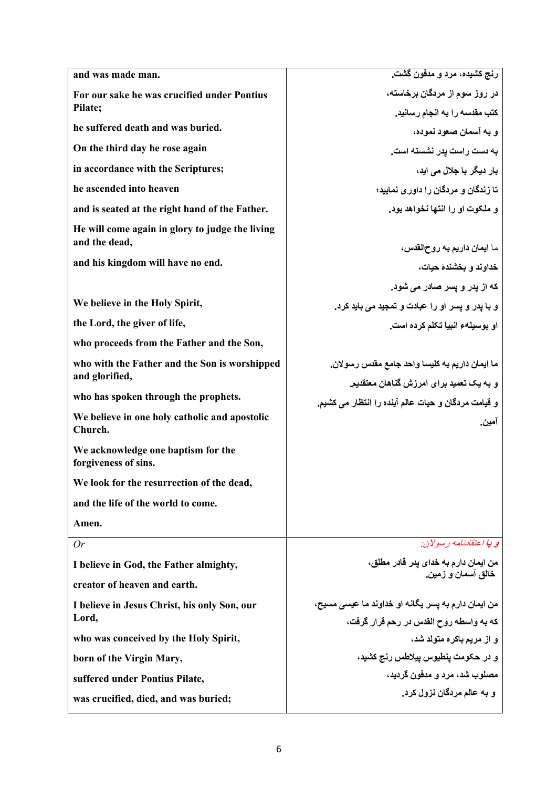| and was made man.                                                | رنج کشیده، مرد و مدفون گشت.                                                                |
|------------------------------------------------------------------|--------------------------------------------------------------------------------------------|
| For our sake he was crucified under Pontius                      | در روز سوم از مردگان برخاسته،                                                              |
| Pilate;                                                          | كتب مقدسه را به انجام رسانيد.                                                              |
| he suffered death and was buried.                                | و به آسمان صعود نموده،                                                                     |
| On the third day he rose again                                   | به دست راست یدر نشسته است.                                                                 |
| in accordance with the Scriptures;                               | بار دیگر با جلال می اید،                                                                   |
| he ascended into heaven                                          | تا زندگان و مردگان را داور ی نمایید؛                                                       |
| and is seated at the right hand of the Father.                   | و ملکوت او را انتها نخواهد بود.                                                            |
| He will come again in glory to judge the living<br>and the dead, | ما ايمان داريم به روحالقدس،                                                                |
| and his kingdom will have no end.                                | خداوند و بخشندهٔ حیات،                                                                     |
|                                                                  | که از پدر و پسر صادر م <i>ی</i> شود.                                                       |
| We believe in the Holy Spirit,                                   | و با یدر و یسر او را عبادت و تمجید می باید کرد.                                            |
| the Lord, the giver of life,                                     | او بوسيلهء انبيا تكلم كرده است.                                                            |
| who proceeds from the Father and the Son,                        |                                                                                            |
|                                                                  |                                                                                            |
| who with the Father and the Son is worshipped<br>and glorified,  | ما ايمان داريم به كليسا واحد جامع مقدس رسولان.<br>و به یک تعمید برای آمرزش گناهان معتقدیم. |
| who has spoken through the prophets.                             | و قيامت مردگان و حيات عالم آينده را انتظار مي كشيم.                                        |
| We believe in one holy catholic and apostolic<br>Church.         | آمين.                                                                                      |
| We acknowledge one baptism for the<br>forgiveness of sins.       |                                                                                            |
| We look for the resurrection of the dead,                        |                                                                                            |
| and the life of the world to come.                               |                                                                                            |
| Amen.                                                            |                                                                                            |
| Or                                                               | و بیا اعتقادنامه رسولان:                                                                   |
| I believe in God, the Father almighty,                           | من ايمان دارم به خداى پدر قادر مطلق،                                                       |
| creator of heaven and earth.                                     | خالق آسمان و زمين.                                                                         |
| I believe in Jesus Christ, his only Son, our                     | من ايمان دارم به يسر يگانه او خداوند ما عيسى مسيح،                                         |
| Lord,                                                            | که به واسطه روح القدس در رحم قرار گرفت،                                                    |
| who was conceived by the Holy Spirit,                            | و از مریم باکره متولد شد،                                                                  |
| born of the Virgin Mary,                                         | و در حکومت ينطيوس ييلاطس رنج کشيد،                                                         |
| suffered under Pontius Pilate,                                   | مصلوب شد، مرد و مدفون گر دید،                                                              |
| was crucified, died, and was buried;                             | و به عالم مردگان نزول کرد.                                                                 |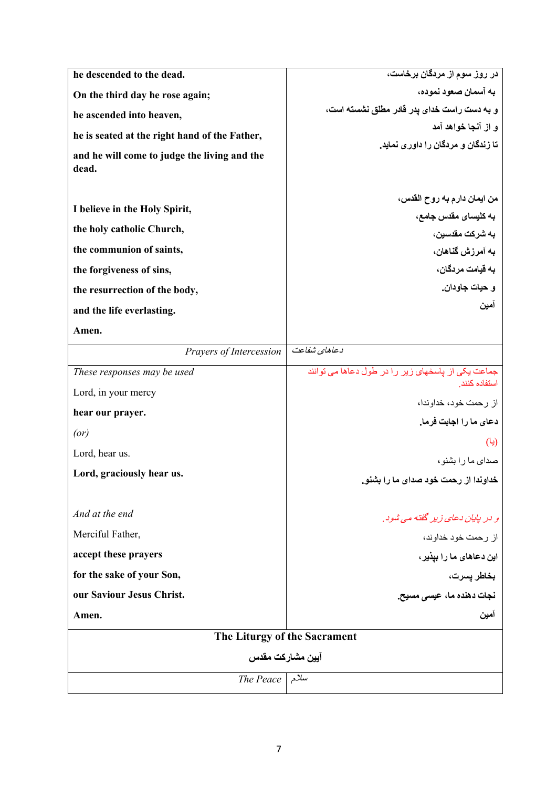| he descended to the dead.                             | در روز سوم از مردگان برخاست،                       |
|-------------------------------------------------------|----------------------------------------------------|
| On the third day he rose again;                       | به آسمان صعود نموده،                               |
| he ascended into heaven,                              | و به دست راست خدای پدر قادر مطلق نشسته است،        |
| he is seated at the right hand of the Father,         | و از آنجا خواهد آمد                                |
| and he will come to judge the living and the<br>dead. | تا زندگان و مردگان را داور ی نماید.                |
|                                                       |                                                    |
|                                                       | من ايمان دارم به روح القدس،                        |
| I believe in the Holy Spirit,                         | به كليساى مقدس جامع،                               |
| the holy catholic Church,                             | به شرکت مقدسین،                                    |
| the communion of saints,                              | به آمرزش گذاهان،                                   |
| the forgiveness of sins,                              | به قیامت مر دگان،                                  |
| the resurrection of the body,                         | و حيات جاو دان.                                    |
| and the life everlasting.                             | امين                                               |
| Amen.                                                 |                                                    |
| Prayers of Intercession                               | دعاهای شفاعت                                       |
| These responses may be used                           | جماعت یکی از باسخهای زیر را در طول دعاها می توانند |
| Lord, in your mercy                                   | استفاده كنند                                       |
| hear our prayer.                                      | از رحمت خود، خداوندا،                              |
| (or)                                                  | دعاى ما را اجابت فرما.                             |
| Lord, hear us.                                        | (یا)                                               |
| Lord, graciously hear us.                             | صدای ما را بشنو،                                   |
|                                                       | خداوندا از رحمت خود صدای ما را بشنو.               |
| And at the end                                        | و در پایان دعای زیر گفته می شود.                   |
| Merciful Father,                                      | از رحمت خود خداوند،                                |
| accept these prayers                                  | این دعاها <i>ی</i> ما را بپذیر ،                   |
| for the sake of your Son,                             | بخاطر يسرت،                                        |
| our Saviour Jesus Christ.                             | نجات دهنده ما، عی <i>سی</i> مسیح.                  |
| Amen.                                                 | امبن                                               |
| The Liturgy of the Sacrament                          |                                                    |
| آيين مشاركت مقدس                                      |                                                    |
| und The Peace                                         |                                                    |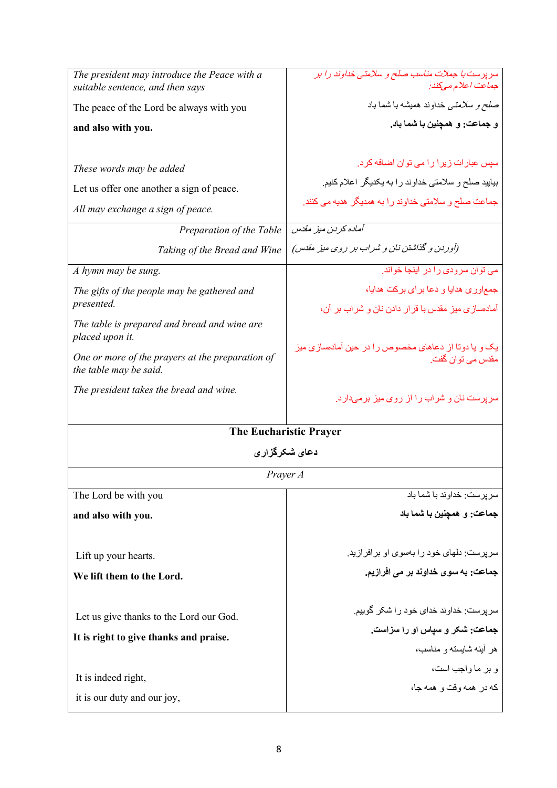| The president may introduce the Peace with a<br>suitable sentence, and then says                                                                                                              | سرپرست با جملات مناسب صلح و سلامتی خداوند را بر<br>جماعت اعلام مىكند:                                                                                                                                                                                           |
|-----------------------------------------------------------------------------------------------------------------------------------------------------------------------------------------------|-----------------------------------------------------------------------------------------------------------------------------------------------------------------------------------------------------------------------------------------------------------------|
| The peace of the Lord be always with you                                                                                                                                                      | ص <i>لح و سلامتی</i> خداوند همیشه با شما باد                                                                                                                                                                                                                    |
| and also with you.                                                                                                                                                                            | و جماعت: و همچنین با شما باد.                                                                                                                                                                                                                                   |
| These words may be added<br>Let us offer one another a sign of peace.<br>All may exchange a sign of peace.<br>Preparation of the Table<br>Taking of the Bread and Wine<br>A hymn may be sung. | سپس عبارات زیرا را می توان اضافه کرد.<br>بیایید صلح و سلامتی خداوند را به یکدیگر اعلام کنیم.<br>جماعت صلح و سلامتی خداوند را به همدیگر هدیه می کنند.<br>آماده كر دن ميز مقدس<br>(آوردن و گذاشتن نان و شراب بر روی میز مقدس)<br>می توان سرودی را در اینجا خواند. |
| The gifts of the people may be gathered and<br>presented.                                                                                                                                     | جمعآوری هدایا و دعا برای برکت هدایا،                                                                                                                                                                                                                            |
| The table is prepared and bread and wine are<br>placed upon it.                                                                                                                               | آمادهسازی میز مقدس با قرار دادن نان و شراب بر آن،<br>یک و یا دوتا از دعاهای مخصوص را در حین آمادهسازی میز                                                                                                                                                       |
| One or more of the prayers at the preparation of<br>the table may be said.                                                                                                                    | مقدس مے توان گفت.                                                                                                                                                                                                                                               |
| The president takes the bread and wine.                                                                                                                                                       | سرپرست نان و شراب را از روی میز برمیدارد.                                                                                                                                                                                                                       |
|                                                                                                                                                                                               | <b>The Eucharistic Prayer</b>                                                                                                                                                                                                                                   |
| دعاي شكرگزاري                                                                                                                                                                                 |                                                                                                                                                                                                                                                                 |
|                                                                                                                                                                                               | Prayer A                                                                                                                                                                                                                                                        |
| The Lord be with you                                                                                                                                                                          | سر بر ست: خداو ند با شما باد                                                                                                                                                                                                                                    |
| and also with you.                                                                                                                                                                            | جماعت: و همچنین با شما باد                                                                                                                                                                                                                                      |
| Lift up your hearts.                                                                                                                                                                          | سریرست: دلهای خود را بهسوی او برافرازید.                                                                                                                                                                                                                        |
| We lift them to the Lord.                                                                                                                                                                     | جماعت: به سوی خداوند بر می افرازیم.                                                                                                                                                                                                                             |
| Let us give thanks to the Lord our God.                                                                                                                                                       | سر پر ست: خداوند خدای خود ر ا شکر گوییم.<br>جماعت: شکر و سپاس او را سزاست.                                                                                                                                                                                      |
| It is right to give thanks and praise.                                                                                                                                                        | هر أينه شايسته و مناسب،                                                                                                                                                                                                                                         |
|                                                                                                                                                                                               | و بر ما واجب است،                                                                                                                                                                                                                                               |
| It is indeed right,                                                                                                                                                                           | که در همه وقت و همه جا،                                                                                                                                                                                                                                         |
| it is our duty and our joy,                                                                                                                                                                   |                                                                                                                                                                                                                                                                 |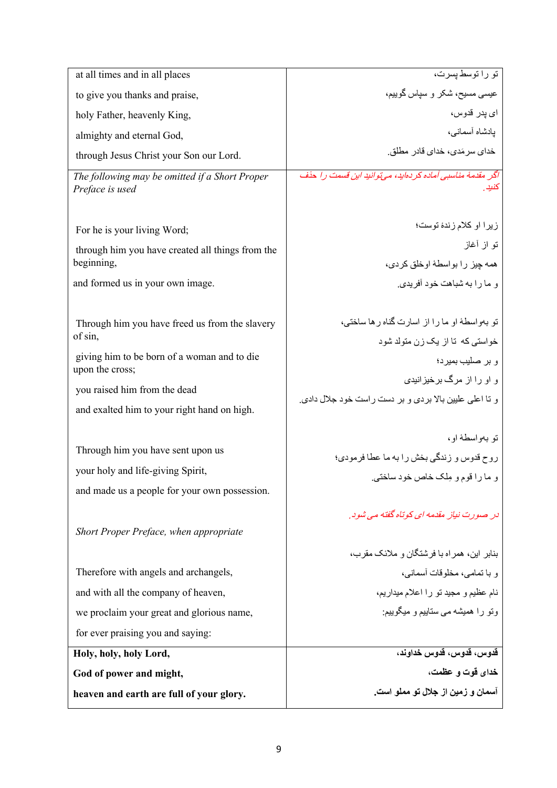| at all times and in all places                                                                                                                                                                             | تو راتوسط پسرت،                                                                                                                                                                                                 |
|------------------------------------------------------------------------------------------------------------------------------------------------------------------------------------------------------------|-----------------------------------------------------------------------------------------------------------------------------------------------------------------------------------------------------------------|
| to give you thanks and praise,                                                                                                                                                                             | عیسی مسیح، شکر و سیاس گوییم،                                                                                                                                                                                    |
| holy Father, heavenly King,                                                                                                                                                                                | اي پدر قدوس،                                                                                                                                                                                                    |
| almighty and eternal God,                                                                                                                                                                                  | يادشاه أسمانى،                                                                                                                                                                                                  |
| through Jesus Christ your Son our Lord.                                                                                                                                                                    | خدای سر مَدی، خدای قادر ِ مطلق ِ                                                                                                                                                                                |
| The following may be omitted if a Short Proper<br>Preface is used                                                                                                                                          | اگر مقدمهٔ مناسبی آماده کردهاید، میتوانید این قسمت را حذف<br>کنید ِ                                                                                                                                             |
| For he is your living Word;                                                                                                                                                                                | زیرا او کلام زندهٔ توست؛                                                                                                                                                                                        |
| through him you have created all things from the                                                                                                                                                           | تو از أغاز                                                                                                                                                                                                      |
| beginning,                                                                                                                                                                                                 | همه چيز را بواسطهٔ اوخلق كردي،                                                                                                                                                                                  |
| and formed us in your own image.                                                                                                                                                                           | و ما را به شباهت خود آفر بدی.                                                                                                                                                                                   |
| Through him you have freed us from the slavery<br>of sin,<br>giving him to be born of a woman and to die<br>upon the cross;<br>you raised him from the dead<br>and exalted him to your right hand on high. | تو بهواسطهٔ او ما را از اسارت گناه ر ها ساخته،<br>خواستی که تا از یک زن متولد شود<br>و بر صليب بميرد؛<br>و او را از مرگ برخیز انیدی<br>و نا اعلی علیین بالا بردی و بر دست راست خود جلال دادی.<br>تو بەواسطە او، |
| Through him you have sent upon us                                                                                                                                                                          | روح قدوس و زندگی بخش را به ما عطا فرمودی؛                                                                                                                                                                       |
| your holy and life-giving Spirit,                                                                                                                                                                          | و ما را قوم و ملک خاص خود ساختی.                                                                                                                                                                                |
| and made us a people for your own possession.                                                                                                                                                              |                                                                                                                                                                                                                 |
| Short Proper Preface, when appropriate                                                                                                                                                                     | در صورت نیاز مقدمه ای کوتاه گفته می شود.                                                                                                                                                                        |
|                                                                                                                                                                                                            | بنابر این، همر اه با فر شتگان و ملائک مقرب،                                                                                                                                                                     |
| Therefore with angels and archangels,                                                                                                                                                                      | و با تمامى، مخلوفات أسمانى،                                                                                                                                                                                     |
| and with all the company of heaven,                                                                                                                                                                        | نام عظیم و مجید تو را اعلام میداریم،                                                                                                                                                                            |
| we proclaim your great and glorious name,                                                                                                                                                                  | وتو را همیشه می ستاییم و میگوییم:                                                                                                                                                                               |
| for ever praising you and saying:                                                                                                                                                                          |                                                                                                                                                                                                                 |
| Holy, holy, holy Lord,                                                                                                                                                                                     | قدوس، قدوس، قدوس خداوند،                                                                                                                                                                                        |
| God of power and might,                                                                                                                                                                                    | خدای قوت و عظمت،                                                                                                                                                                                                |
| heaven and earth are full of your glory.                                                                                                                                                                   | آسمان و زمین از جلال تو مملو است.                                                                                                                                                                               |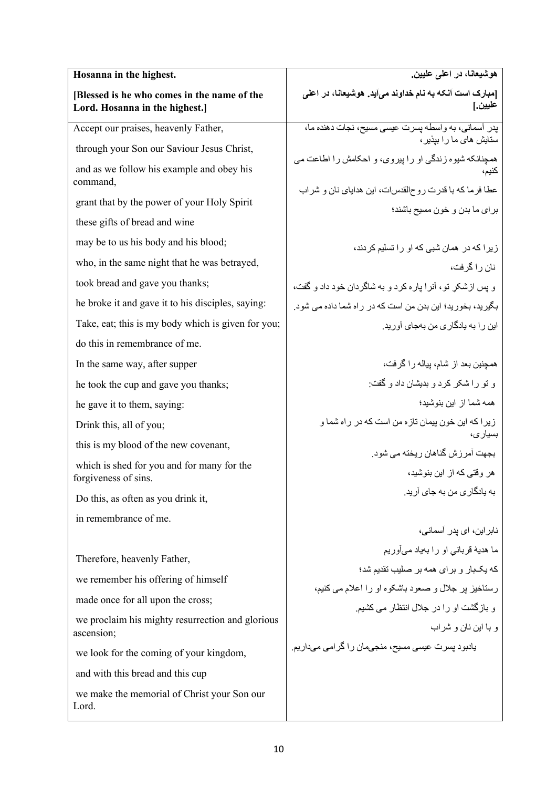| Hosanna in the highest.                                                       | هوشیعانـا، در اعلم علیین.                                         |
|-------------------------------------------------------------------------------|-------------------------------------------------------------------|
| [Blessed is he who comes in the name of the<br>Lord. Hosanna in the highest.] | [مبارک است آنکه به نام خداوند میآید. هوشیعانا، در اعلی<br>عليين.] |
| Accept our praises, heavenly Father,                                          | يدر أسماني، به واسطه يسرت عيسى مسيح، نجات دهنده ما،               |
| through your Son our Saviour Jesus Christ,                                    | ستایش های ما را بیذیر ،                                           |
| and as we follow his example and obey his<br>command,                         | همچنانکه شیوه زندگی او را بیروی، و احکامش را اطاعت می<br>كنيم،    |
| grant that by the power of your Holy Spirit                                   | عطا فرما كه با قدرت روحالقدسات، اين هداياي نان و شراب             |
| these gifts of bread and wine                                                 | براي ما بدن و خون مسيح باشند؛                                     |
| may be to us his body and his blood;                                          | ز پر ا که در همان شبی که او ر ا تسلیم کردند،                      |
| who, in the same night that he was betrayed,                                  | نان را گر فت،                                                     |
| took bread and gave you thanks;                                               | و پس ازشکر تو، أنرا پاره کرد و به شاگردان خود داد و گفت،          |
| he broke it and gave it to his disciples, saying:                             | بگیرید، بخورید؛ این بدن من است که در راه شما داده می شود.         |
| Take, eat; this is my body which is given for you;                            | این ر ۱ به پادگار ی من بهجای آو ر پد.                             |
| do this in remembrance of me.                                                 |                                                                   |
| In the same way, after supper                                                 | همچنین بعد از شام، بیاله را گرفت،                                 |
| he took the cup and gave you thanks;                                          | و تو را شکر کرد و بدیشان داد و گفت:                               |
| he gave it to them, saying:                                                   | همه شما از این بنوشید؛                                            |
| Drink this, all of you;                                                       | زیر ا که این خون پیمان تازه من است که در راه شما و                |
| this is my blood of the new covenant,                                         | بسيارى،<br>بجهت آمرزش گناهان ريخته مي شود.                        |
| which is shed for you and for many for the<br>forgiveness of sins.            | هر وقتے که از این بنوشید،                                         |
| Do this, as often as you drink it,                                            | به پادگار ی من به جای آر پد.                                      |
| in remembrance of me.                                                         |                                                                   |
|                                                                               | نابر این، ای پدر آسمانی،                                          |
| Therefore, heavenly Father,                                                   | ما هديهٔ قرباني او را بهياد ميأوريم                               |
| we remember his offering of himself                                           | که بکبار و برای همه بر صلیب تقدیم شد؛                             |
| made once for all upon the cross;                                             | رستاخیز پر جلال و صعود باشکوه او را اعلام می کنیم،                |
| we proclaim his mighty resurrection and glorious<br>ascension;                | و بازگشت او را در جلال انتظار می کشیم.<br>و با این نان و شراب     |
| we look for the coming of your kingdom,                                       | یادبود پسرت عیسی مسیح، منجیمان را گرامی میداریم.                  |
| and with this bread and this cup                                              |                                                                   |
| we make the memorial of Christ your Son our<br>Lord.                          |                                                                   |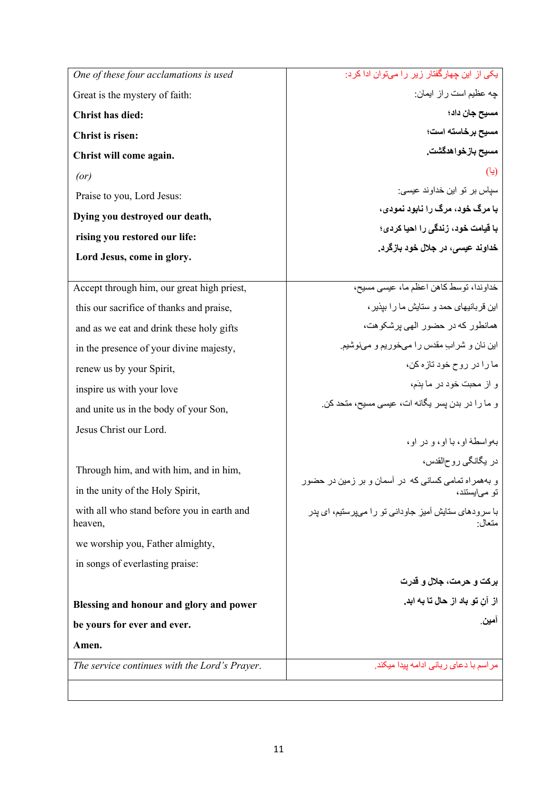| One of these four acclamations is used                | یکی از این چهارگفتار زیر را میتوان ادا کر د:          |
|-------------------------------------------------------|-------------------------------------------------------|
| Great is the mystery of faith:                        | چه عظیم است راز ایمان:                                |
| <b>Christ has died:</b>                               | مسيح جان داد؛                                         |
| Christ is risen:                                      | مسيح برخاسته است؛                                     |
| Christ will come again.                               | مسيح بازخواهدگشت.                                     |
| (or)                                                  | (یا)                                                  |
| Praise to you, Lord Jesus:                            | سیاس بر تو این خداوند عیسی:                           |
| Dying you destroyed our death,                        | با مرگ خود، مرگ را نابود نمودی،                       |
| rising you restored our life:                         | با قیامت خود، زندگی را احیا کردی؛                     |
|                                                       | خداوند عیسی، در جلال خود بازگرد.                      |
| Lord Jesus, come in glory.                            |                                                       |
| Accept through him, our great high priest,            | خداوندا، توسط كاهن اعظم ما، عيسى مسيح،                |
| this our sacrifice of thanks and praise,              | این قر بانیهای حمد و ستایش ما ر ۱ بیذیر ،             |
| and as we eat and drink these holy gifts              | همانطور كه در حضور الهي برشكوهت،                      |
| in the presence of your divine majesty,               | این نان و شراب مقدس را میخوریم و مینوشیم.             |
| renew us by your Spirit,                              | ما را در روح خود تازه کن،                             |
| inspire us with your love                             | و از محبت خود در ما بدَم،                             |
| and unite us in the body of your Son,                 | و ما را در بدن بسر بگانه ات، عیسی مسیح، متحد کن.      |
| Jesus Christ our Lord.                                |                                                       |
|                                                       | بهو اسطهٔ او ، با او ، و در او ،                      |
| Through him, and with him, and in him,                | در يگانگي روحالقدس،                                   |
|                                                       | و بههمراه تمامی کسانی که در اسمان و بر زمین در حضور   |
| in the unity of the Holy Spirit,                      | تو می یستند،                                          |
| with all who stand before you in earth and<br>heaven, | با سرودهای ستایش آمیزِ جاودانی تو را میپرستیم، ای پدر |
| we worship you, Father almighty,                      |                                                       |
| in songs of everlasting praise:                       |                                                       |
|                                                       | برکت و حرمت، جلال و قدرت                              |
| Blessing and honour and glory and power               | از آنِ تو باد از حال تا به ابد.                       |
| be yours for ever and ever.                           | امين                                                  |
| Amen.                                                 |                                                       |
| The service continues with the Lord's Prayer.         | مراسم با دعای ربانی ادامه بیدا میکند.                 |
|                                                       |                                                       |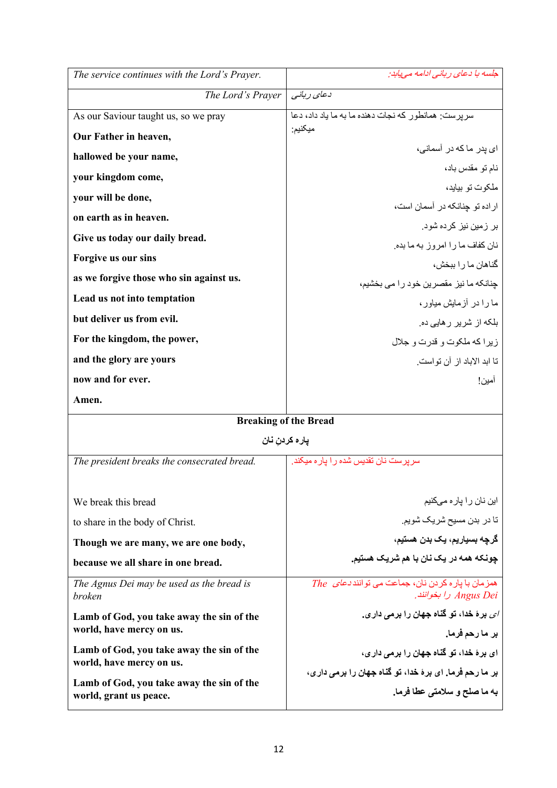| The service continues with the Lord's Prayer.                         | جلسه با دعای ر بانی ادامه می پاید:                                                  |
|-----------------------------------------------------------------------|-------------------------------------------------------------------------------------|
| The Lord's Prayer                                                     | دعای ربانی                                                                          |
| As our Saviour taught us, so we pray                                  | سر بر ست: همانطور که نجات دهنده ما به ما یاد داد، دعا                               |
| Our Father in heaven,                                                 | ميكنيم:                                                                             |
| hallowed be your name,                                                | ا <i>ی</i> بدر ما که در آسمانی،                                                     |
| your kingdom come,                                                    | نام تو مقدس باد،                                                                    |
| your will be done,                                                    | ملکو ت تو بیاید،                                                                    |
| on earth as in heaven.                                                | ار اده تو چنانکه در آسمان است،                                                      |
| Give us today our daily bread.                                        | بر زمین نیز کرده شود.                                                               |
| Forgive us our sins                                                   | نان كفاف ما را امروز به ما بده.<br>گناهان ما ر ۱ ببخش،                              |
| as we forgive those who sin against us.                               |                                                                                     |
| Lead us not into temptation                                           | جنانكه ما نيز مقصرين خود را مي بخشيم،<br>ما را در آزمایش میاور،                     |
| but deliver us from evil.                                             | بلکه از شریر ر هایی ده.                                                             |
| For the kingdom, the power,                                           | زيرا كه ملكوت و قدرت و جلال                                                         |
| and the glory are yours                                               | تا ابد الاباد از آن تو است.                                                         |
| now and for ever.                                                     | امين!                                                                               |
| Amen.                                                                 |                                                                                     |
| <b>Breaking of the Bread</b>                                          |                                                                                     |
| يار ه كردن نان                                                        |                                                                                     |
| The president breaks the consecrated bread.                           | سر بر ست نان تقدیس شده ر ا بار ه میکند.                                             |
|                                                                       |                                                                                     |
| We break this bread                                                   | این نان را پار ه میکنیم                                                             |
| to share in the body of Christ.                                       | تا در بدن مسیح شریک شویم.                                                           |
| Though we are many, we are one body,                                  | گرچه بسياريم، يک بدن هستيم،                                                         |
| because we all share in one bread.                                    | چونکه همه در یک نان با هم شریک هستیم.                                               |
| The Agnus Dei may be used as the bread is<br>broken                   | همز مان با يار ه كردن نان، جماعت مي توانند <i>دعاى The</i><br>Angus Dei را بخوانند. |
| Lamb of God, you take away the sin of the                             | <i>ای</i> برهٔ خدا، تو گناه جهان را برمی داری.                                      |
| world, have mercy on us.                                              | بر مارحم فرما.                                                                      |
| Lamb of God, you take away the sin of the<br>world, have mercy on us. | ای برهٔ خدا، تو گناه جهان را برمی داری،                                             |
|                                                                       | بر ما رحم فرما. ای برهٔ خدا، تو گناه جهان را برمی داری،                             |
| Lamb of God, you take away the sin of the<br>world, grant us peace.   | به ما صلح و سلامتی عطا فرما.                                                        |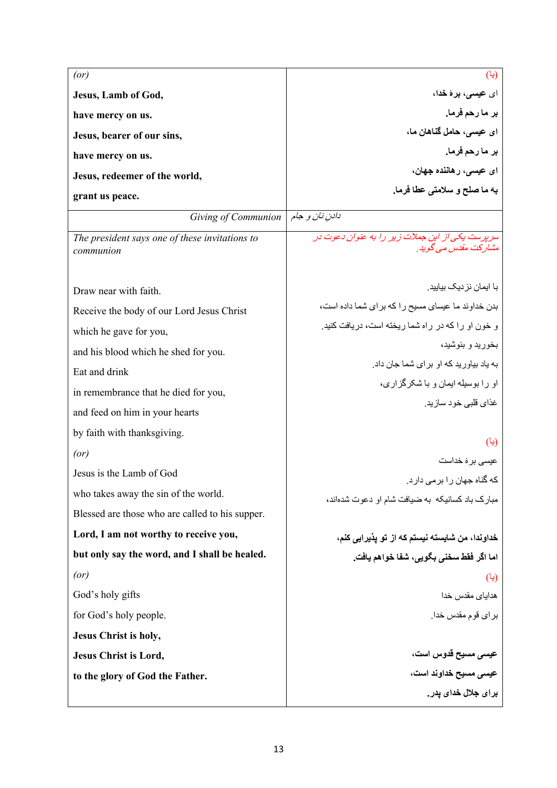| (or)                                                        | (یا)                                                                            |
|-------------------------------------------------------------|---------------------------------------------------------------------------------|
| Jesus, Lamb of God,                                         | ای عیسی، برهٔ <b>خد</b> ا،                                                      |
| have mercy on us.                                           | بر ما رحم فرما.                                                                 |
| Jesus, bearer of our sins,                                  | ای عیسی، حامل گناهان ما،                                                        |
| have mercy on us.                                           | بر مارحم فرما.                                                                  |
| Jesus, redeemer of the world,                               | ای عیسی، رهاننده جهان،                                                          |
| grant us peace.                                             | به ما صلح و سلامتی عطا فرما.                                                    |
| Giving of Communion                                         | دادن نان و جام                                                                  |
| The president says one of these invitations to<br>communion | سر پر ست یکی از این جملات زیر را به عنوان دعوت در<br>مشار کت مقدس مے گو بد ِ    |
| Draw near with faith.                                       | با ایمان نز دیک بیایید.                                                         |
| Receive the body of our Lord Jesus Christ                   | بدن خداوند ما عیسای مسیح را که برای شما داده است،                               |
| which he gave for you,                                      | و خون او را که در راه شما ریخته است، دریافت کنید.                               |
| and his blood which he shed for you.                        | بخوريد و بنوشيد،                                                                |
| Eat and drink                                               | به یاد بیاور ید که او بر ای شما جان داد.                                        |
| in remembrance that he died for you,                        | او را بوسیله ایمان و با شکرگز اری،                                              |
| and feed on him in your hearts                              | غذای قلبی خود سازید.                                                            |
| by faith with thanksgiving.                                 |                                                                                 |
| (or)                                                        | (یا)                                                                            |
| Jesus is the Lamb of God                                    | عیسی بر ۂ خداست                                                                 |
| who takes away the sin of the world.                        | که گناه جهان ر ۱ بر می دار د.<br>مبارک باد کسانیکه به ضیافت شام او دعوت شدهاند، |
| Blessed are those who are called to his supper.             |                                                                                 |
| Lord, I am not worthy to receive you,                       | خداوندا، من شايسته نيستم كه از تو يذيرايي كنم،                                  |
| but only say the word, and I shall be healed.               | اما اكَر فَقط سخني بكَويي، شَفَا خواهم يافت.                                    |
| (or)                                                        | (یا)                                                                            |
| God's holy gifts                                            | هدایا <i>ی</i> مقدس خدا                                                         |
| for God's holy people.                                      | براي قوم مقدس خدا.                                                              |
| Jesus Christ is holy,                                       |                                                                                 |
| Jesus Christ is Lord,                                       | عی <i>سی</i> مسیح قدوس است،                                                     |
| to the glory of God the Father.                             | عی <i>سی</i> مسیح خداوند است،                                                   |
|                                                             | برا <i>ی</i> جلال خدای یدر .                                                    |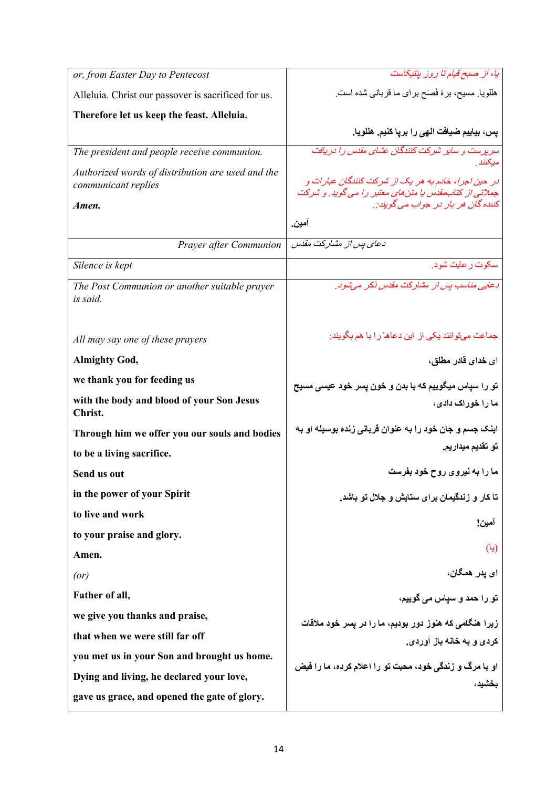| or, from Easter Day to Pentecost                                                  | يا، از صبح قيام تا روز بنتيكاست                                                                                                                      |
|-----------------------------------------------------------------------------------|------------------------------------------------------------------------------------------------------------------------------------------------------|
| Alleluia. Christ our passover is sacrificed for us.                               | هللویا. مسیح، برهٔ فَصَح برای ما قربانی شده است.                                                                                                     |
| Therefore let us keep the feast. Alleluia.                                        |                                                                                                                                                      |
|                                                                                   | يس، بياييم ضيافت الهي را بريا كنيم. هللويا.                                                                                                          |
| The president and people receive communion.                                       | سر پر ست و سایر شرکت کنندگان عشای مقدس را در پافت                                                                                                    |
| Authorized words of distribution are used and the<br>communicant replies<br>Amen. | در حین اجرا، خادم به هر یک از شرکت کنندگان عبارات و<br>جملاتی از کتاب،قدس یا متنهای معتبر را می گوید. و شرکت<br>کننده گان هر بار در جواب می گویند: . |
|                                                                                   | آمين.                                                                                                                                                |
| Prayer after Communion                                                            | دعای بس از مشارکت مقدس                                                                                                                               |
| Silence is kept                                                                   | سکوت رعایت شود.                                                                                                                                      |
| The Post Communion or another suitable prayer<br>is said.                         | دعایی مناسب بس از مشارکت مقدس ذکر می شود.                                                                                                            |
| All may say one of these prayers                                                  | جماعت میتوانند یکی از این دعاها را با هم بگویند:                                                                                                     |
| <b>Almighty God,</b>                                                              | ای خدای قادر مطلق،                                                                                                                                   |
| we thank you for feeding us                                                       | تو را سپاس میگوییم که با بدن و خون پسر خود عیسی مسیح                                                                                                 |
| with the body and blood of your Son Jesus<br>Christ.                              | ما را خوراک دادی،                                                                                                                                    |
| Through him we offer you our souls and bodies                                     | اینک جسم و جان خود را به عنوان قربانی زنده بوسیله او به                                                                                              |
| to be a living sacrifice.                                                         | تو تقديم ميداريم.                                                                                                                                    |
| Send us out                                                                       | ما را به نیروی روح خود بفرست                                                                                                                         |
| in the power of your Spirit                                                       | تا کار و زندگیمان برای ستایش و جلال تو باشد.                                                                                                         |
| to live and work                                                                  | امين!                                                                                                                                                |
| to your praise and glory.                                                         |                                                                                                                                                      |
| Amen.                                                                             | (یا)                                                                                                                                                 |
| (or)                                                                              | ای پدر همگان،                                                                                                                                        |
| Father of all,                                                                    | تو را حمد و سیاس می گوییم،                                                                                                                           |
| we give you thanks and praise,                                                    | زیرا هنگامی که هنوز دور بودیم، ما را در پسر خود ملاقات                                                                                               |
| that when we were still far off                                                   | کردی و به خانه باز آوردی.                                                                                                                            |
| you met us in your Son and brought us home.                                       |                                                                                                                                                      |
| Dying and living, he declared your love,                                          | او با مرگ و زندگی خود، محبت تو را اعلام کرده، ما را فیض<br>بخشبد،                                                                                    |
| gave us grace, and opened the gate of glory.                                      |                                                                                                                                                      |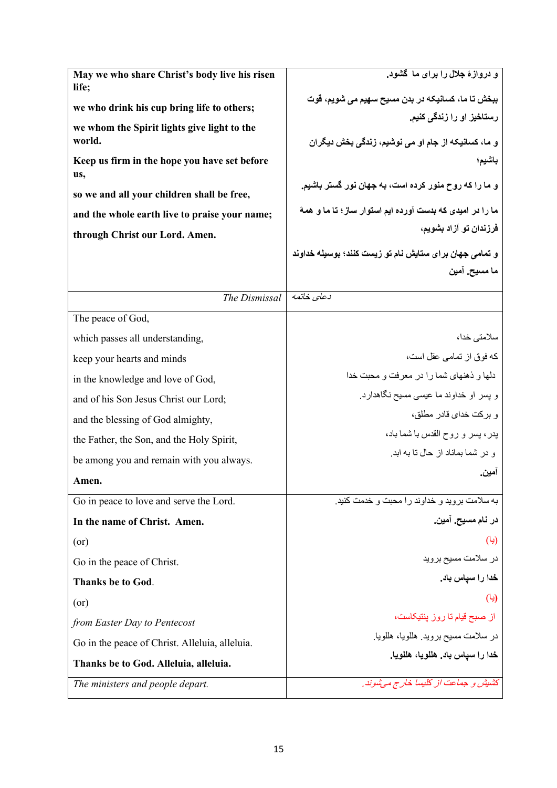| May we who share Christ's body live his risen<br>life; | و دروازهٔ جلال را برای ما گشود.                                    |
|--------------------------------------------------------|--------------------------------------------------------------------|
| we who drink his cup bring life to others;             | ببخش تا ما، کسانیکه در بدن مسیح سهیم می شویم، قوت                  |
| we whom the Spirit lights give light to the            | رستاخیز او را زندگی کنیم.                                          |
| world.                                                 | و ما، کسانیکه از جام او م <i>ی</i> نوشیم، زندگ <i>ی</i> بخش دیگران |
| Keep us firm in the hope you have set before           | باشيم؛                                                             |
| us,                                                    | و ما را که روح منور کرده است، به جهان نور گستر باشیم.              |
| so we and all your children shall be free,             | ما را در امیدی که بدست آورده ایم استوار ساز ؛ تا ما و همهٔ         |
| and the whole earth live to praise your name;          | فرزندان تو آزاد بشويم،                                             |
| through Christ our Lord. Amen.                         |                                                                    |
|                                                        | و تمامی جهان برای ستایش نام تو زیست کنند؛ بوسیله خداوند            |
|                                                        | ما مسيح. آمين                                                      |
| The Dismissal                                          | دعاى خاتمه                                                         |
| The peace of God,                                      |                                                                    |
| which passes all understanding,                        | سلامتى خدا،                                                        |
| keep your hearts and minds                             | كه فوق از تمامى عقل است،                                           |
| in the knowledge and love of God,                      | دلها و ذهنهای شما را در معرفت و محبت خدا                           |
| and of his Son Jesus Christ our Lord;                  | و پسر او خداوند ما عیسی مسیح نگاهدارد.                             |
| and the blessing of God almighty,                      | و بركت خداي قادر مطلق،                                             |
| the Father, the Son, and the Holy Spirit,              | يدر، پسر و روح القدس با شما باد،                                   |
| be among you and remain with you always.               | و در شما بماناد از حال نا به ابد.                                  |
| Amen.                                                  | امين.                                                              |
| Go in peace to love and serve the Lord.                | به سلامت بروید و خداوند را محبت و خدمت کنید.                       |
| In the name of Christ. Amen.                           | در نام مسيح. آمين.                                                 |
| (or)                                                   | (یا)                                                               |
| Go in the peace of Christ.                             | در سلامت مسيح برويد                                                |
| <b>Thanks be to God.</b>                               | خدا را سیاس باد.                                                   |
| (or)                                                   | (یا)                                                               |
| from Easter Day to Pentecost                           | از صبح قیام تا روز پنتیکاست،                                       |
| Go in the peace of Christ. Alleluia, alleluia.         | در سلامت مسيح برويد. هللويا، هللويا.                               |
| Thanks be to God. Alleluia, alleluia.                  | خدا را سياس باد. هللويا، هللويا.                                   |
| The ministers and people depart.                       | كشيش و جماعت از كليسا خارج مي شوند.                                |